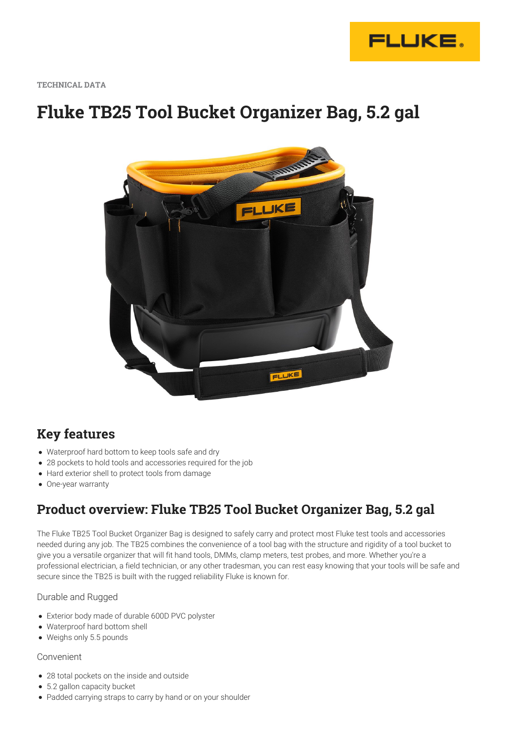

**TECHNICAL DATA**

# **Fluke TB25 Tool Bucket Organizer Bag, 5.2 gal**



### **Key features**

- Waterproof hard bottom to keep tools safe and dry
- 28 pockets to hold tools and accessories required for the job
- Hard exterior shell to protect tools from damage
- One-year warranty

### **Product overview: Fluke TB25 Tool Bucket Organizer Bag, 5.2 gal**

The Fluke TB25 Tool Bucket Organizer Bag is designed to safely carry and protect most Fluke test tools and accessories needed during any job. The TB25 combines the convenience of a tool bag with the structure and rigidity of a tool bucket to give you a versatile organizer that will fit hand tools, DMMs, clamp meters, test probes, and more. Whether you're a professional electrician, a field technician, or any other tradesman, you can rest easy knowing that your tools will be safe and secure since the TB25 is built with the rugged reliability Fluke is known for.

#### Durable and Rugged

- Exterior body made of durable 600D PVC polyster
- Waterproof hard bottom shell
- Weighs only 5.5 pounds

#### Convenient

- 28 total pockets on the inside and outside
- 5.2 gallon capacity bucket
- Padded carrying straps to carry by hand or on your shoulder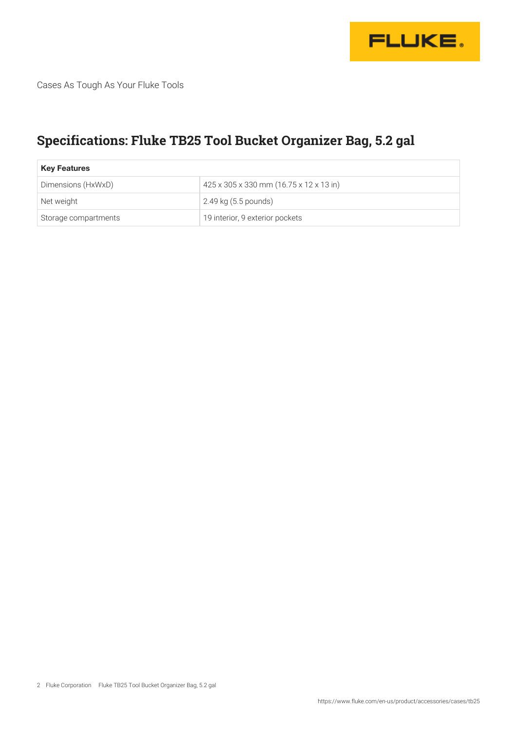

Cases As Tough As Your Fluke Tools

## **Specifications: Fluke TB25 Tool Bucket Organizer Bag, 5.2 gal**

| <b>Key Features</b>  |                                         |
|----------------------|-----------------------------------------|
| Dimensions (HxWxD)   | 425 x 305 x 330 mm (16.75 x 12 x 13 in) |
| Net weight           | 2.49 kg (5.5 pounds)                    |
| Storage compartments | 19 interior, 9 exterior pockets         |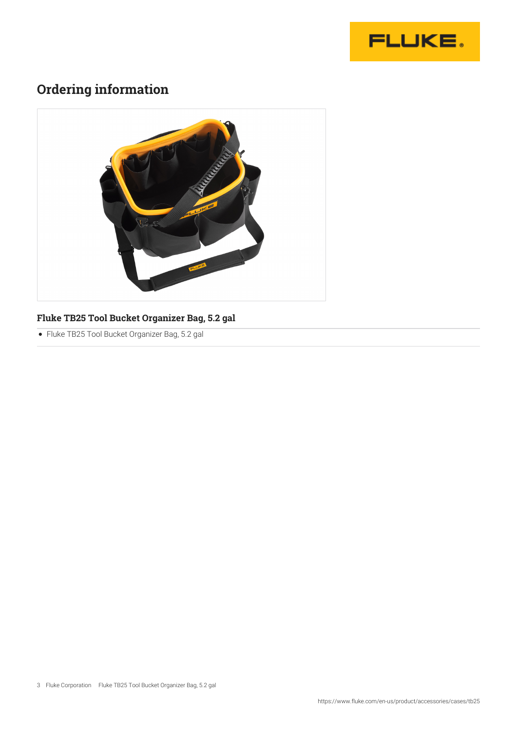

## **Ordering information**



### **Fluke TB25 Tool Bucket Organizer Bag, 5.2 gal**

Fluke TB25 Tool Bucket Organizer Bag, 5.2 gal